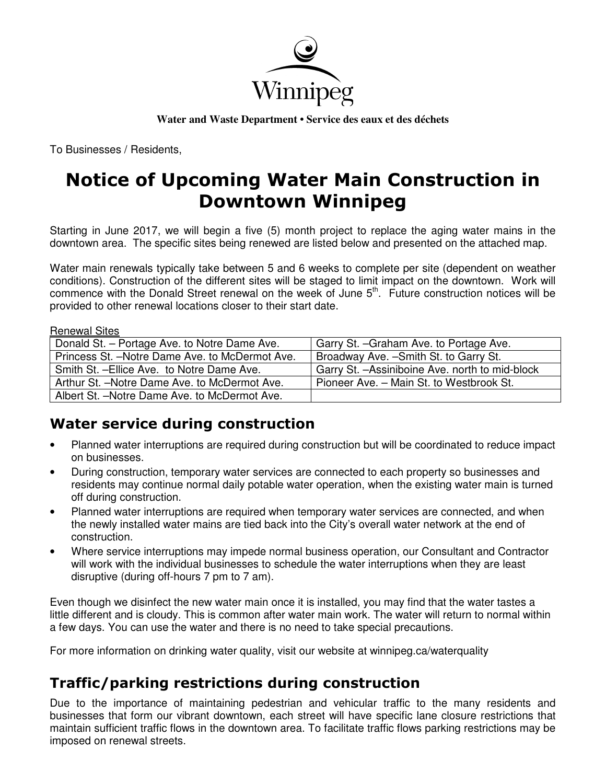

**Water and Waste Department • Service des eaux et des déchets**

To Businesses / Residents,

# Notice of Upcoming Water Main Construction in Downtown Winnipeg

Starting in June 2017, we will begin a five (5) month project to replace the aging water mains in the downtown area. The specific sites being renewed are listed below and presented on the attached map.

Water main renewals typically take between 5 and 6 weeks to complete per site (dependent on weather conditions). Construction of the different sites will be staged to limit impact on the downtown. Work will commence with the Donald Street renewal on the week of June 5<sup>th</sup>. Future construction notices will be provided to other renewal locations closer to their start date.

#### Renewal Sites

| Donald St. - Portage Ave. to Notre Dame Ave.    | Garry St. - Graham Ave. to Portage Ave.         |
|-------------------------------------------------|-------------------------------------------------|
| Princess St. - Notre Dame Ave. to McDermot Ave. | Broadway Ave. - Smith St. to Garry St.          |
| Smith St. - Ellice Ave. to Notre Dame Ave.      | Garry St. - Assiniboine Ave. north to mid-block |
| Arthur St. - Notre Dame Ave. to McDermot Ave.   | Pioneer Ave. - Main St. to Westbrook St.        |
| Albert St. - Notre Dame Ave. to McDermot Ave.   |                                                 |

### Water service during construction

- Planned water interruptions are required during construction but will be coordinated to reduce impact on businesses.
- During construction, temporary water services are connected to each property so businesses and residents may continue normal daily potable water operation, when the existing water main is turned off during construction.
- Planned water interruptions are required when temporary water services are connected, and when the newly installed water mains are tied back into the City's overall water network at the end of construction.
- Where service interruptions may impede normal business operation, our Consultant and Contractor will work with the individual businesses to schedule the water interruptions when they are least disruptive (during off-hours 7 pm to 7 am).

Even though we disinfect the new water main once it is installed, you may find that the water tastes a little different and is cloudy. This is common after water main work. The water will return to normal within a few days. You can use the water and there is no need to take special precautions.

For more information on drinking water quality, visit our website at winnipeg.ca/waterquality

## Traffic/parking restrictions during construction

Due to the importance of maintaining pedestrian and vehicular traffic to the many residents and businesses that form our vibrant downtown, each street will have specific lane closure restrictions that maintain sufficient traffic flows in the downtown area. To facilitate traffic flows parking restrictions may be imposed on renewal streets.